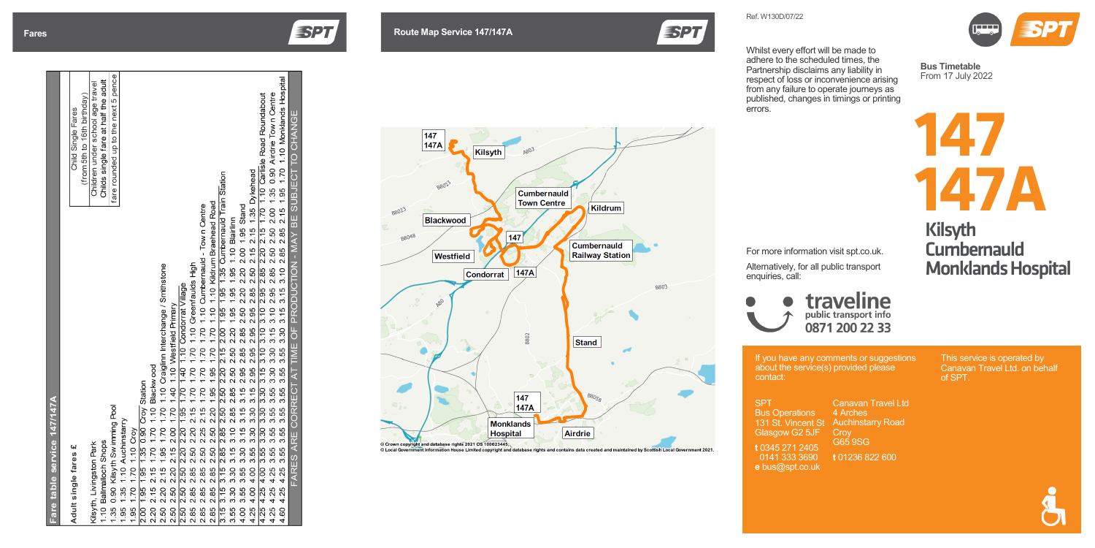## - 4 - 2 - 4

| Adult single fares £                                                                                                                                   | Child Single Fares                   |
|--------------------------------------------------------------------------------------------------------------------------------------------------------|--------------------------------------|
|                                                                                                                                                        | (from 5th to 16th birthday)          |
| Kilsyth, Livingston Park                                                                                                                               | Children under school age travel     |
| 1.10 Ballmalloch Shops                                                                                                                                 | Childs single fare at half the adult |
| 1.35 0.90 Kilsyth Swimming Pool                                                                                                                        | fare rounded up to the next 5 penc   |
| 1.95 1.35 1.10 Auchinstarry                                                                                                                            |                                      |
| 1.95 1.70 1.70 1.10 Croy                                                                                                                               |                                      |
| 2.00 1.95 1.95 1.35 0.90 Croy Station                                                                                                                  |                                      |
| 2.20 2.15 2.15 1.70 1.70 1.10 Blackwood                                                                                                                |                                      |
| 2.50 2.20 2.15 1.95 1.70 1.70 1.10 Craiglinn Interchange / Smithstone                                                                                  |                                      |
| 2.50 2.50 2.20 2.15 2.00 1.70 1.40 1.10 Westfield Primary                                                                                              |                                      |
| 2.50 2.50 2.50 2.20 2.20 1.95 1.70 1.40 1.10 Condorrat Village                                                                                         |                                      |
|                                                                                                                                                        |                                      |
| 2.85 2.85 2.85 2.50 2.20 2.15 1.70 1.70 1.70 1.10 Greenfaulds High<br>2.85 2.85 2.85 2.50 2.25 2.15 1.70 1.70 1.70 1.70 1.10 Cumbernauld - Town Centre |                                      |
| 2.85 2.85 2.85 2.50 2.50 2.20 1.95 1.95 1.70 1.70 1.10 1.10 Kildrum Braehead Road                                                                      |                                      |
| 3.15 3.15 3.15 2.85 2.85 2.50 2.50 2.20 2.15 2.00 1.95 1.95 1.35 Cumbernauld Train Station                                                             |                                      |
| 3.55 3.30 3.30 3.15 3.10 2.85 2.85 2.50 2.50 2.20 1.95 1.95 1.95 1.10 Blairlinn                                                                        |                                      |
| 4.00 3.55 3.55 3.30 3.15 3.15 3.15 2.95 2.85 2.85 2.50 2.20 2.20 2.00 1.95 Stand                                                                       |                                      |
| 4.25 4.00 4.00 3.55 3.30 3.30 3.15 2.95 2.95 2.95 2.95 2.85 2.50 2.15 2.15 1.35 Dykehead                                                               |                                      |
| 4.25 4.25 4.00 3.55 3.30 3.30 3.30 3.15 3.10 3.10 3.10 2.95 2.85 2.20 2.15 1.70 1.10 Carlisle Road Roundabout                                          |                                      |
| 4.25 4.25 4.25 3.55 3.55 3.55 3.55 3.30 3.30 3.15 3.10 2.95 2.85 2.50 2.50 2.00 1.35 0.90 Airdrie Town Centre                                          |                                      |
| 4.60 4.25 4.25 3.55 3.55 3.55 3.55 3.55 3.56 3.16 3.16 3.16 3.10 2.85 2.85 2.15 1.95 1.70 1.10 Monklands Hospita                                       |                                      |
| EADER ADDER CODDECT MAT THAT THAT THAT AT THAT AN AV DE SID IER ON AV DE SID IER O                                                                     |                                      |



If you have any comments or suggestions about the service(s) provided please contact:

SPT Bus Operations 131 St. Vincent St Glasgow G2 5JF

- **Auchinstarry Road**
- **Croy**
- G65 9SG
- **t** 01236 822 600

**t** 0345 271 2405 0141 333 3690 **e** bus@spt.co.uk

 $\Box$ 



Canavan Travel Ltd 4 Arches

This service is operated by Canavan Travel Ltd. on behalf of SPT.



**Bus Timetable** From 1 7 July 2022

Ref. W130 D/07/22

Whilst every effort will be made to adhere to the scheduled times, the Partnership disclaims any liability in respect of loss or inconvenience arising from any failure to operate journeys as published, changes in timings or printing errors.





For more information visit spt.co.uk.

Alternatively, for all public transport enquiries, call:



### Kilsyth **Cumbernauld** Monklands Hospital

# traveline 0871 200 22 33